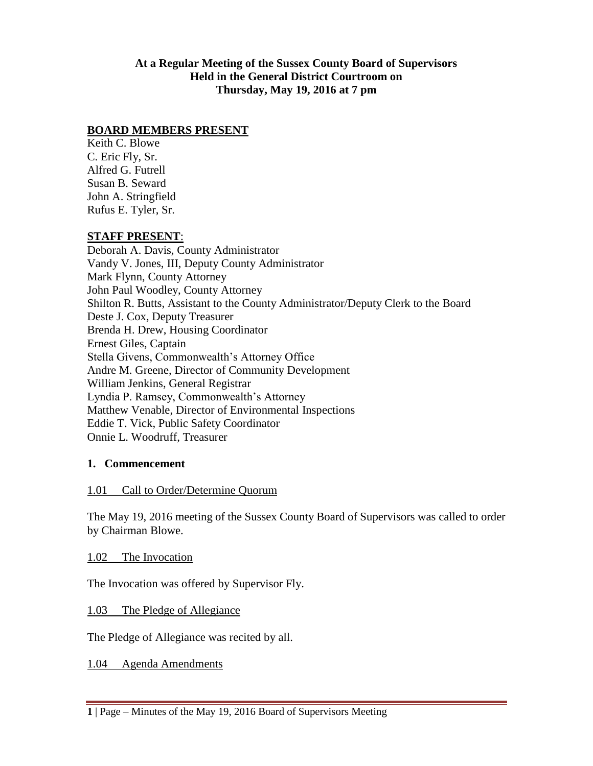**At a Regular Meeting of the Sussex County Board of Supervisors Held in the General District Courtroom on Thursday, May 19, 2016 at 7 pm**

#### **BOARD MEMBERS PRESENT**

Keith C. Blowe C. Eric Fly, Sr. Alfred G. Futrell Susan B. Seward John A. Stringfield Rufus E. Tyler, Sr.

#### **STAFF PRESENT**:

Deborah A. Davis, County Administrator Vandy V. Jones, III, Deputy County Administrator Mark Flynn, County Attorney John Paul Woodley, County Attorney Shilton R. Butts, Assistant to the County Administrator/Deputy Clerk to the Board Deste J. Cox, Deputy Treasurer Brenda H. Drew, Housing Coordinator Ernest Giles, Captain Stella Givens, Commonwealth's Attorney Office Andre M. Greene, Director of Community Development William Jenkins, General Registrar Lyndia P. Ramsey, Commonwealth's Attorney Matthew Venable, Director of Environmental Inspections Eddie T. Vick, Public Safety Coordinator Onnie L. Woodruff, Treasurer

#### **1. Commencement**

#### 1.01 Call to Order/Determine Quorum

The May 19, 2016 meeting of the Sussex County Board of Supervisors was called to order by Chairman Blowe.

1.02 The Invocation

The Invocation was offered by Supervisor Fly.

1.03 The Pledge of Allegiance

The Pledge of Allegiance was recited by all.

1.04 Agenda Amendments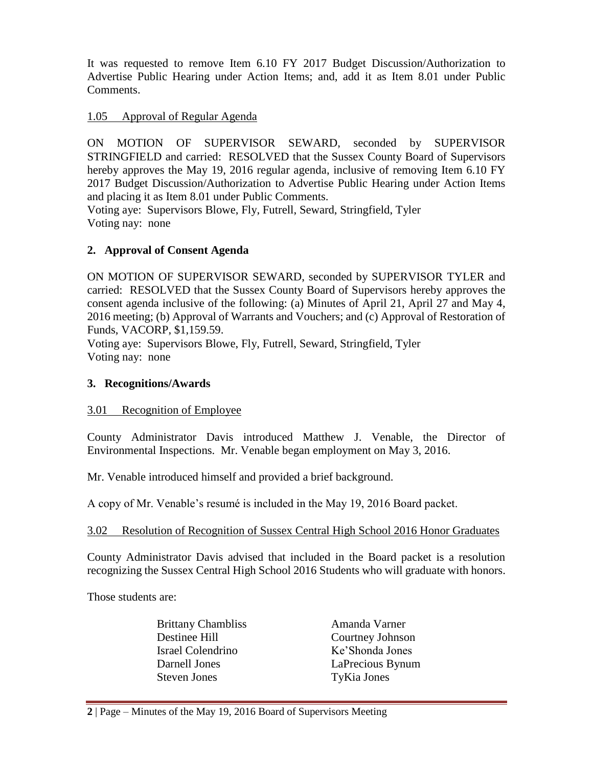It was requested to remove Item 6.10 FY 2017 Budget Discussion/Authorization to Advertise Public Hearing under Action Items; and, add it as Item 8.01 under Public Comments.

#### 1.05 Approval of Regular Agenda

ON MOTION OF SUPERVISOR SEWARD, seconded by SUPERVISOR STRINGFIELD and carried: RESOLVED that the Sussex County Board of Supervisors hereby approves the May 19, 2016 regular agenda, inclusive of removing Item 6.10 FY 2017 Budget Discussion/Authorization to Advertise Public Hearing under Action Items and placing it as Item 8.01 under Public Comments.

Voting aye: Supervisors Blowe, Fly, Futrell, Seward, Stringfield, Tyler Voting nay: none

## **2. Approval of Consent Agenda**

ON MOTION OF SUPERVISOR SEWARD, seconded by SUPERVISOR TYLER and carried: RESOLVED that the Sussex County Board of Supervisors hereby approves the consent agenda inclusive of the following: (a) Minutes of April 21, April 27 and May 4, 2016 meeting; (b) Approval of Warrants and Vouchers; and (c) Approval of Restoration of Funds, VACORP, \$1,159.59.

Voting aye: Supervisors Blowe, Fly, Futrell, Seward, Stringfield, Tyler Voting nay: none

#### **3. Recognitions/Awards**

#### 3.01 Recognition of Employee

County Administrator Davis introduced Matthew J. Venable, the Director of Environmental Inspections. Mr. Venable began employment on May 3, 2016.

Mr. Venable introduced himself and provided a brief background.

A copy of Mr. Venable's resumé is included in the May 19, 2016 Board packet.

#### 3.02 Resolution of Recognition of Sussex Central High School 2016 Honor Graduates

County Administrator Davis advised that included in the Board packet is a resolution recognizing the Sussex Central High School 2016 Students who will graduate with honors.

Those students are:

Brittany Chambliss Amanda Varner Israel Colendrino Ke'Shonda Jones Steven Jones TyKia Jones

Destinee Hill Courtney Johnson Darnell Jones LaPrecious Bynum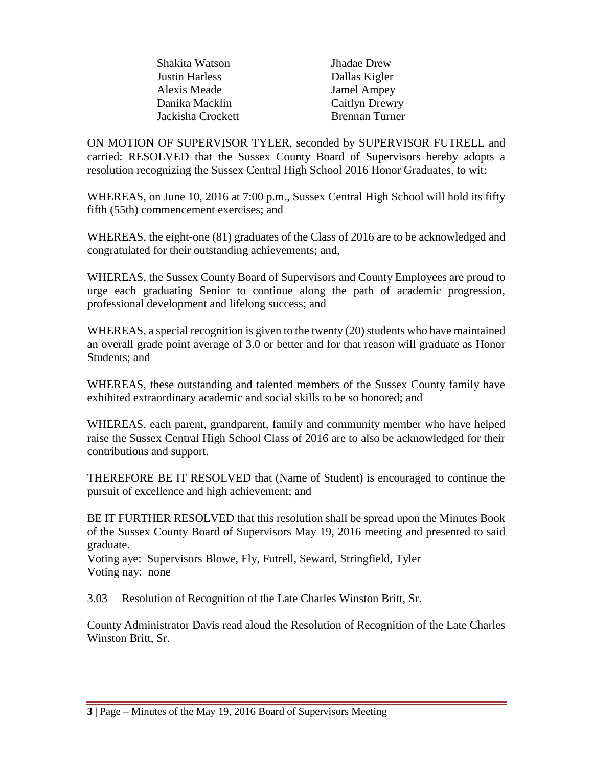| <b>Jhadae</b> Drew    |
|-----------------------|
| Dallas Kigler         |
| <b>Jamel Ampey</b>    |
| <b>Caitlyn Drewry</b> |
| <b>Brennan Turner</b> |
|                       |

ON MOTION OF SUPERVISOR TYLER, seconded by SUPERVISOR FUTRELL and carried: RESOLVED that the Sussex County Board of Supervisors hereby adopts a resolution recognizing the Sussex Central High School 2016 Honor Graduates, to wit:

WHEREAS, on June 10, 2016 at 7:00 p.m., Sussex Central High School will hold its fifty fifth (55th) commencement exercises; and

WHEREAS, the eight-one (81) graduates of the Class of 2016 are to be acknowledged and congratulated for their outstanding achievements; and,

WHEREAS, the Sussex County Board of Supervisors and County Employees are proud to urge each graduating Senior to continue along the path of academic progression, professional development and lifelong success; and

WHEREAS, a special recognition is given to the twenty (20) students who have maintained an overall grade point average of 3.0 or better and for that reason will graduate as Honor Students; and

WHEREAS, these outstanding and talented members of the Sussex County family have exhibited extraordinary academic and social skills to be so honored; and

WHEREAS, each parent, grandparent, family and community member who have helped raise the Sussex Central High School Class of 2016 are to also be acknowledged for their contributions and support.

THEREFORE BE IT RESOLVED that (Name of Student) is encouraged to continue the pursuit of excellence and high achievement; and

BE IT FURTHER RESOLVED that this resolution shall be spread upon the Minutes Book of the Sussex County Board of Supervisors May 19, 2016 meeting and presented to said graduate.

Voting aye: Supervisors Blowe, Fly, Futrell, Seward, Stringfield, Tyler Voting nay: none

3.03 Resolution of Recognition of the Late Charles Winston Britt, Sr.

County Administrator Davis read aloud the Resolution of Recognition of the Late Charles Winston Britt, Sr.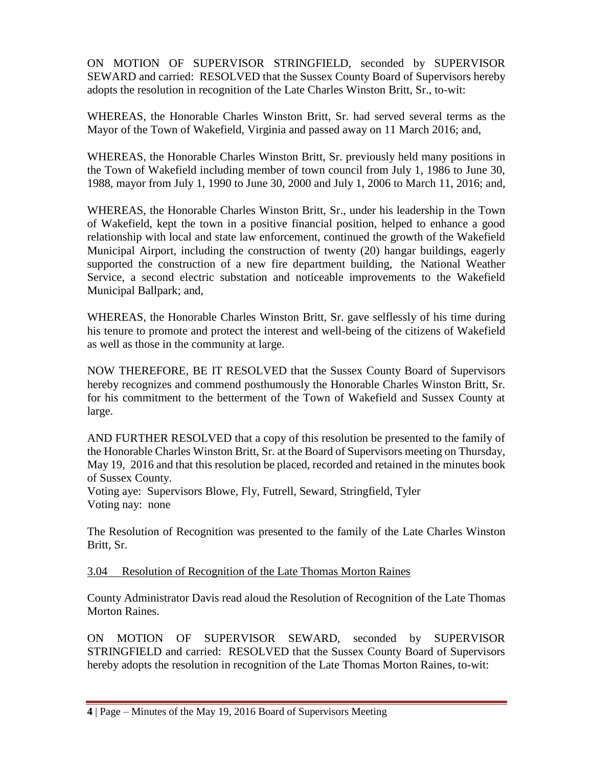ON MOTION OF SUPERVISOR STRINGFIELD, seconded by SUPERVISOR SEWARD and carried: RESOLVED that the Sussex County Board of Supervisors hereby adopts the resolution in recognition of the Late Charles Winston Britt, Sr., to-wit:

WHEREAS, the Honorable Charles Winston Britt, Sr. had served several terms as the Mayor of the Town of Wakefield, Virginia and passed away on 11 March 2016; and,

WHEREAS, the Honorable Charles Winston Britt, Sr. previously held many positions in the Town of Wakefield including member of town council from July 1, 1986 to June 30, 1988, mayor from July 1, 1990 to June 30, 2000 and July 1, 2006 to March 11, 2016; and,

WHEREAS, the Honorable Charles Winston Britt, Sr., under his leadership in the Town of Wakefield, kept the town in a positive financial position, helped to enhance a good relationship with local and state law enforcement, continued the growth of the Wakefield Municipal Airport, including the construction of twenty (20) hangar buildings, eagerly supported the construction of a new fire department building, the National Weather Service, a second electric substation and noticeable improvements to the Wakefield Municipal Ballpark; and,

WHEREAS, the Honorable Charles Winston Britt, Sr. gave selflessly of his time during his tenure to promote and protect the interest and well-being of the citizens of Wakefield as well as those in the community at large.

NOW THEREFORE, BE IT RESOLVED that the Sussex County Board of Supervisors hereby recognizes and commend posthumously the Honorable Charles Winston Britt, Sr. for his commitment to the betterment of the Town of Wakefield and Sussex County at large.

AND FURTHER RESOLVED that a copy of this resolution be presented to the family of the Honorable Charles Winston Britt, Sr. at the Board of Supervisors meeting on Thursday, May 19, 2016 and that this resolution be placed, recorded and retained in the minutes book of Sussex County.

Voting aye: Supervisors Blowe, Fly, Futrell, Seward, Stringfield, Tyler Voting nay: none

The Resolution of Recognition was presented to the family of the Late Charles Winston Britt, Sr.

#### 3.04 Resolution of Recognition of the Late Thomas Morton Raines

County Administrator Davis read aloud the Resolution of Recognition of the Late Thomas Morton Raines.

ON MOTION OF SUPERVISOR SEWARD, seconded by SUPERVISOR STRINGFIELD and carried: RESOLVED that the Sussex County Board of Supervisors hereby adopts the resolution in recognition of the Late Thomas Morton Raines, to-wit: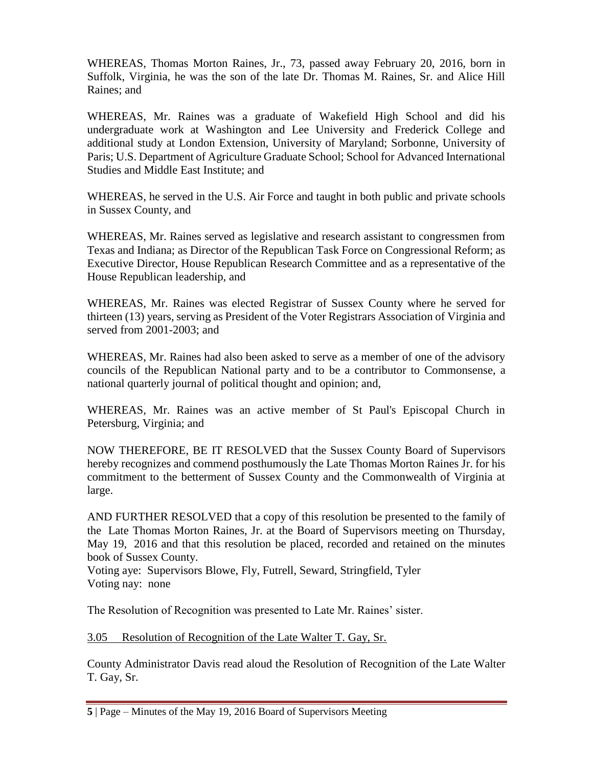WHEREAS, Thomas Morton Raines, Jr., 73, passed away February 20, 2016, born in Suffolk, Virginia, he was the son of the late Dr. Thomas M. Raines, Sr. and Alice Hill Raines; and

WHEREAS, Mr. Raines was a graduate of Wakefield High School and did his undergraduate work at Washington and Lee University and Frederick College and additional study at London Extension, University of Maryland; Sorbonne, University of Paris; U.S. Department of Agriculture Graduate School; School for Advanced International Studies and Middle East Institute; and

WHEREAS, he served in the U.S. Air Force and taught in both public and private schools in Sussex County, and

WHEREAS, Mr. Raines served as legislative and research assistant to congressmen from Texas and Indiana; as Director of the Republican Task Force on Congressional Reform; as Executive Director, House Republican Research Committee and as a representative of the House Republican leadership, and

WHEREAS, Mr. Raines was elected Registrar of Sussex County where he served for thirteen (13) years, serving as President of the Voter Registrars Association of Virginia and served from 2001-2003; and

WHEREAS, Mr. Raines had also been asked to serve as a member of one of the advisory councils of the Republican National party and to be a contributor to Commonsense, a national quarterly journal of political thought and opinion; and,

WHEREAS, Mr. Raines was an active member of St Paul's Episcopal Church in Petersburg, Virginia; and

NOW THEREFORE, BE IT RESOLVED that the Sussex County Board of Supervisors hereby recognizes and commend posthumously the Late Thomas Morton Raines Jr. for his commitment to the betterment of Sussex County and the Commonwealth of Virginia at large.

AND FURTHER RESOLVED that a copy of this resolution be presented to the family of the Late Thomas Morton Raines, Jr. at the Board of Supervisors meeting on Thursday, May 19, 2016 and that this resolution be placed, recorded and retained on the minutes book of Sussex County.

Voting aye: Supervisors Blowe, Fly, Futrell, Seward, Stringfield, Tyler Voting nay: none

The Resolution of Recognition was presented to Late Mr. Raines' sister.

3.05 Resolution of Recognition of the Late Walter T. Gay, Sr.

County Administrator Davis read aloud the Resolution of Recognition of the Late Walter T. Gay, Sr.

**<sup>5</sup>** | Page – Minutes of the May 19, 2016 Board of Supervisors Meeting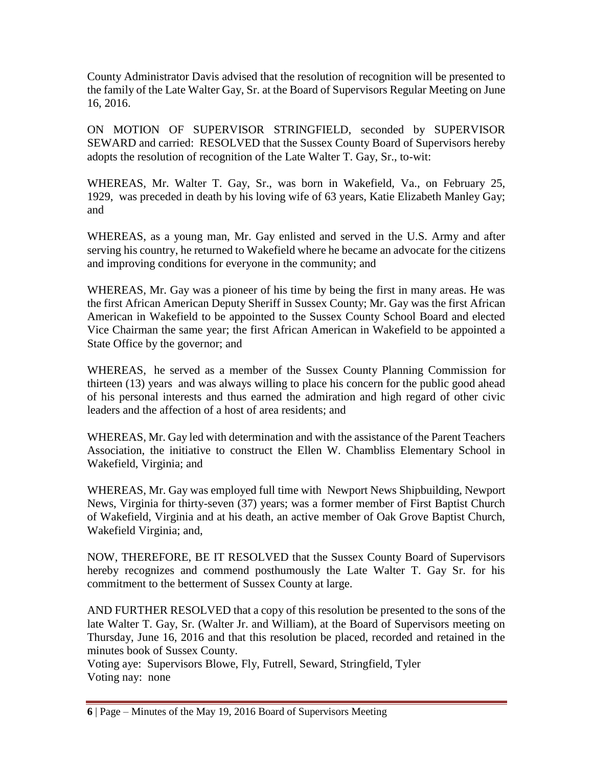County Administrator Davis advised that the resolution of recognition will be presented to the family of the Late Walter Gay, Sr. at the Board of Supervisors Regular Meeting on June 16, 2016.

ON MOTION OF SUPERVISOR STRINGFIELD, seconded by SUPERVISOR SEWARD and carried: RESOLVED that the Sussex County Board of Supervisors hereby adopts the resolution of recognition of the Late Walter T. Gay, Sr., to-wit:

WHEREAS, Mr. Walter T. Gay, Sr., was born in Wakefield, Va., on February 25, 1929, was preceded in death by his loving wife of 63 years, Katie Elizabeth Manley Gay; and

WHEREAS, as a young man, Mr. Gay enlisted and served in the U.S. Army and after serving his country, he returned to Wakefield where he became an advocate for the citizens and improving conditions for everyone in the community; and

WHEREAS, Mr. Gay was a pioneer of his time by being the first in many areas. He was the first African American Deputy Sheriff in Sussex County; Mr. Gay was the first African American in Wakefield to be appointed to the Sussex County School Board and elected Vice Chairman the same year; the first African American in Wakefield to be appointed a State Office by the governor; and

WHEREAS, he served as a member of the Sussex County Planning Commission for thirteen (13) years and was always willing to place his concern for the public good ahead of his personal interests and thus earned the admiration and high regard of other civic leaders and the affection of a host of area residents; and

WHEREAS, Mr. Gay led with determination and with the assistance of the Parent Teachers Association, the initiative to construct the Ellen W. Chambliss Elementary School in Wakefield, Virginia; and

WHEREAS, Mr. Gay was employed full time with Newport News Shipbuilding, Newport News, Virginia for thirty-seven (37) years; was a former member of First Baptist Church of Wakefield, Virginia and at his death, an active member of Oak Grove Baptist Church, Wakefield Virginia; and,

NOW, THEREFORE, BE IT RESOLVED that the Sussex County Board of Supervisors hereby recognizes and commend posthumously the Late Walter T. Gay Sr. for his commitment to the betterment of Sussex County at large.

AND FURTHER RESOLVED that a copy of this resolution be presented to the sons of the late Walter T. Gay, Sr. (Walter Jr. and William), at the Board of Supervisors meeting on Thursday, June 16, 2016 and that this resolution be placed, recorded and retained in the minutes book of Sussex County.

Voting aye: Supervisors Blowe, Fly, Futrell, Seward, Stringfield, Tyler Voting nay: none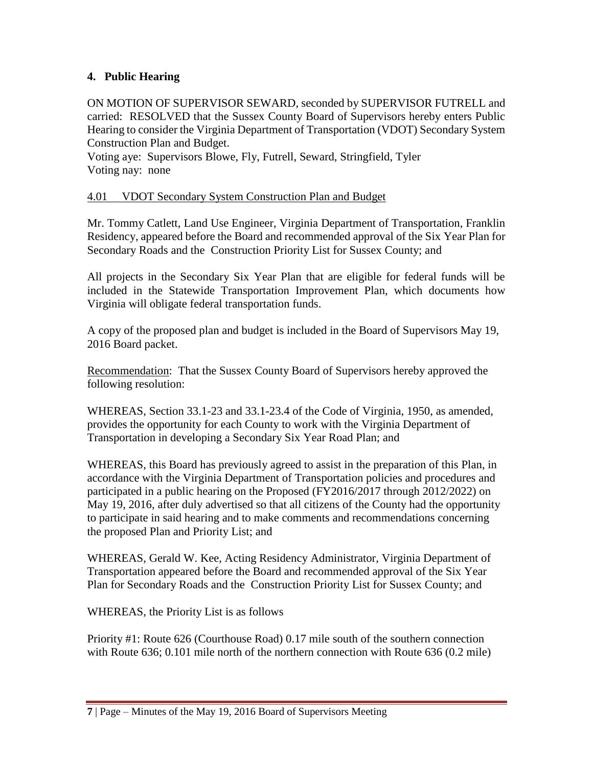## **4. Public Hearing**

ON MOTION OF SUPERVISOR SEWARD, seconded by SUPERVISOR FUTRELL and carried: RESOLVED that the Sussex County Board of Supervisors hereby enters Public Hearing to consider the Virginia Department of Transportation (VDOT) Secondary System Construction Plan and Budget.

Voting aye: Supervisors Blowe, Fly, Futrell, Seward, Stringfield, Tyler Voting nay: none

#### 4.01 VDOT Secondary System Construction Plan and Budget

Mr. Tommy Catlett, Land Use Engineer, Virginia Department of Transportation, Franklin Residency, appeared before the Board and recommended approval of the Six Year Plan for Secondary Roads and the Construction Priority List for Sussex County; and

All projects in the Secondary Six Year Plan that are eligible for federal funds will be included in the Statewide Transportation Improvement Plan, which documents how Virginia will obligate federal transportation funds.

A copy of the proposed plan and budget is included in the Board of Supervisors May 19, 2016 Board packet.

Recommendation: That the Sussex County Board of Supervisors hereby approved the following resolution:

WHEREAS, Section 33.1-23 and 33.1-23.4 of the Code of Virginia, 1950, as amended, provides the opportunity for each County to work with the Virginia Department of Transportation in developing a Secondary Six Year Road Plan; and

WHEREAS, this Board has previously agreed to assist in the preparation of this Plan, in accordance with the Virginia Department of Transportation policies and procedures and participated in a public hearing on the Proposed (FY2016/2017 through 2012/2022) on May 19, 2016, after duly advertised so that all citizens of the County had the opportunity to participate in said hearing and to make comments and recommendations concerning the proposed Plan and Priority List; and

WHEREAS, Gerald W. Kee, Acting Residency Administrator, Virginia Department of Transportation appeared before the Board and recommended approval of the Six Year Plan for Secondary Roads and the Construction Priority List for Sussex County; and

WHEREAS, the Priority List is as follows

Priority #1: Route 626 (Courthouse Road) 0.17 mile south of the southern connection with Route 636; 0.101 mile north of the northern connection with Route 636 (0.2 mile)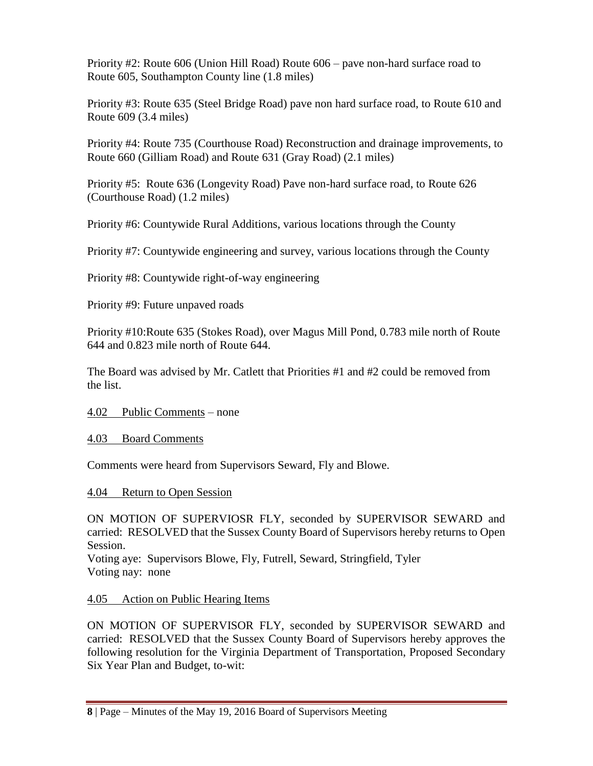Priority #2: Route 606 (Union Hill Road) Route 606 – pave non-hard surface road to Route 605, Southampton County line (1.8 miles)

Priority #3: Route 635 (Steel Bridge Road) pave non hard surface road, to Route 610 and Route 609 (3.4 miles)

Priority #4: Route 735 (Courthouse Road) Reconstruction and drainage improvements, to Route 660 (Gilliam Road) and Route 631 (Gray Road) (2.1 miles)

Priority #5: Route 636 (Longevity Road) Pave non-hard surface road, to Route 626 (Courthouse Road) (1.2 miles)

Priority #6: Countywide Rural Additions, various locations through the County

Priority #7: Countywide engineering and survey, various locations through the County

Priority #8: Countywide right-of-way engineering

Priority #9: Future unpaved roads

Priority #10:Route 635 (Stokes Road), over Magus Mill Pond, 0.783 mile north of Route 644 and 0.823 mile north of Route 644.

The Board was advised by Mr. Catlett that Priorities #1 and #2 could be removed from the list.

4.02 Public Comments – none

4.03 Board Comments

Comments were heard from Supervisors Seward, Fly and Blowe.

4.04 Return to Open Session

ON MOTION OF SUPERVIOSR FLY, seconded by SUPERVISOR SEWARD and carried: RESOLVED that the Sussex County Board of Supervisors hereby returns to Open Session.

Voting aye: Supervisors Blowe, Fly, Futrell, Seward, Stringfield, Tyler Voting nay: none

# 4.05 Action on Public Hearing Items

ON MOTION OF SUPERVISOR FLY, seconded by SUPERVISOR SEWARD and carried: RESOLVED that the Sussex County Board of Supervisors hereby approves the following resolution for the Virginia Department of Transportation, Proposed Secondary Six Year Plan and Budget, to-wit: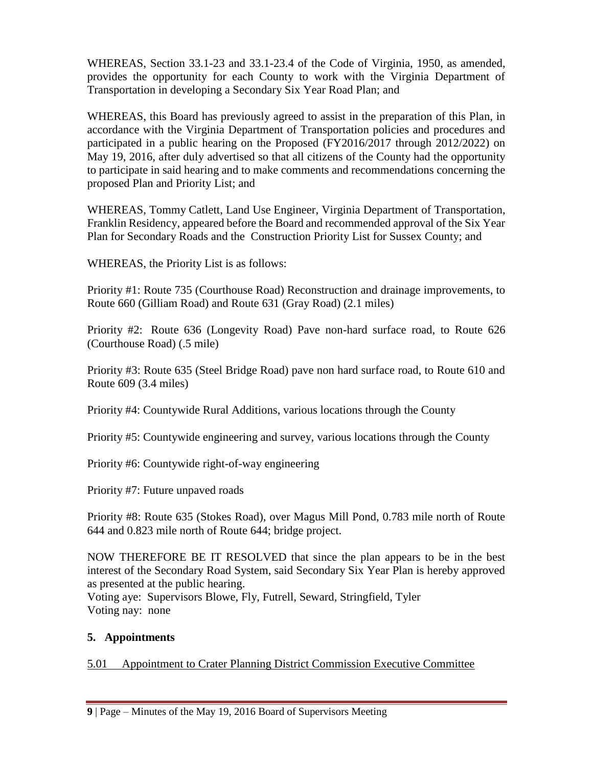WHEREAS, Section 33.1-23 and 33.1-23.4 of the Code of Virginia, 1950, as amended, provides the opportunity for each County to work with the Virginia Department of Transportation in developing a Secondary Six Year Road Plan; and

WHEREAS, this Board has previously agreed to assist in the preparation of this Plan, in accordance with the Virginia Department of Transportation policies and procedures and participated in a public hearing on the Proposed (FY2016/2017 through 2012/2022) on May 19, 2016, after duly advertised so that all citizens of the County had the opportunity to participate in said hearing and to make comments and recommendations concerning the proposed Plan and Priority List; and

WHEREAS, Tommy Catlett, Land Use Engineer, Virginia Department of Transportation, Franklin Residency, appeared before the Board and recommended approval of the Six Year Plan for Secondary Roads and the Construction Priority List for Sussex County; and

WHEREAS, the Priority List is as follows:

Priority #1: Route 735 (Courthouse Road) Reconstruction and drainage improvements, to Route 660 (Gilliam Road) and Route 631 (Gray Road) (2.1 miles)

Priority #2: Route 636 (Longevity Road) Pave non-hard surface road, to Route 626 (Courthouse Road) (.5 mile)

Priority #3: Route 635 (Steel Bridge Road) pave non hard surface road, to Route 610 and Route 609 (3.4 miles)

Priority #4: Countywide Rural Additions, various locations through the County

Priority #5: Countywide engineering and survey, various locations through the County

Priority #6: Countywide right-of-way engineering

Priority #7: Future unpaved roads

Priority #8: Route 635 (Stokes Road), over Magus Mill Pond, 0.783 mile north of Route 644 and 0.823 mile north of Route 644; bridge project.

NOW THEREFORE BE IT RESOLVED that since the plan appears to be in the best interest of the Secondary Road System, said Secondary Six Year Plan is hereby approved as presented at the public hearing.

Voting aye: Supervisors Blowe, Fly, Futrell, Seward, Stringfield, Tyler Voting nay: none

# **5. Appointments**

5.01 Appointment to Crater Planning District Commission Executive Committee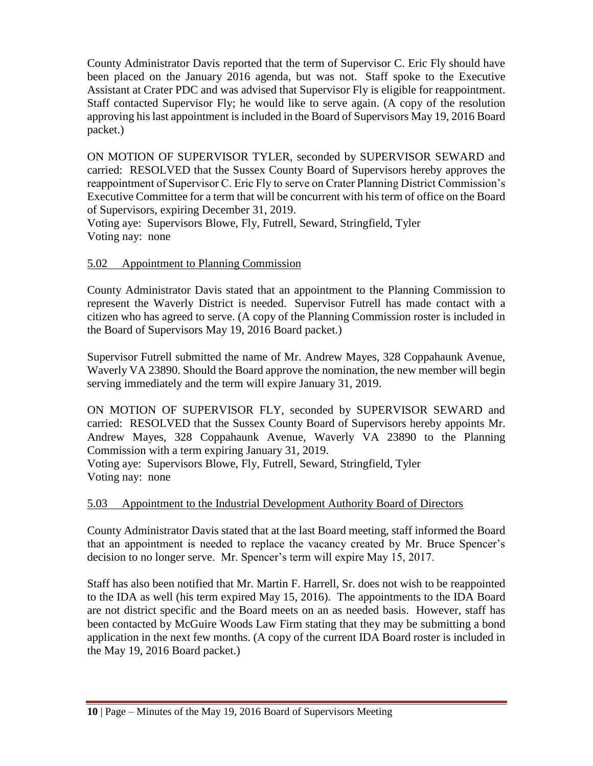County Administrator Davis reported that the term of Supervisor C. Eric Fly should have been placed on the January 2016 agenda, but was not. Staff spoke to the Executive Assistant at Crater PDC and was advised that Supervisor Fly is eligible for reappointment. Staff contacted Supervisor Fly; he would like to serve again. (A copy of the resolution approving his last appointment is included in the Board of Supervisors May 19, 2016 Board packet.)

ON MOTION OF SUPERVISOR TYLER, seconded by SUPERVISOR SEWARD and carried: RESOLVED that the Sussex County Board of Supervisors hereby approves the reappointment of Supervisor C. Eric Fly to serve on Crater Planning District Commission's Executive Committee for a term that will be concurrent with his term of office on the Board of Supervisors, expiring December 31, 2019.

Voting aye: Supervisors Blowe, Fly, Futrell, Seward, Stringfield, Tyler Voting nay: none

# 5.02 Appointment to Planning Commission

County Administrator Davis stated that an appointment to the Planning Commission to represent the Waverly District is needed. Supervisor Futrell has made contact with a citizen who has agreed to serve. (A copy of the Planning Commission roster is included in the Board of Supervisors May 19, 2016 Board packet.)

Supervisor Futrell submitted the name of Mr. Andrew Mayes, 328 Coppahaunk Avenue, Waverly VA 23890. Should the Board approve the nomination, the new member will begin serving immediately and the term will expire January 31, 2019.

ON MOTION OF SUPERVISOR FLY, seconded by SUPERVISOR SEWARD and carried: RESOLVED that the Sussex County Board of Supervisors hereby appoints Mr. Andrew Mayes, 328 Coppahaunk Avenue, Waverly VA 23890 to the Planning Commission with a term expiring January 31, 2019.

Voting aye: Supervisors Blowe, Fly, Futrell, Seward, Stringfield, Tyler Voting nay: none

# 5.03 Appointment to the Industrial Development Authority Board of Directors

County Administrator Davis stated that at the last Board meeting, staff informed the Board that an appointment is needed to replace the vacancy created by Mr. Bruce Spencer's decision to no longer serve. Mr. Spencer's term will expire May 15, 2017.

Staff has also been notified that Mr. Martin F. Harrell, Sr. does not wish to be reappointed to the IDA as well (his term expired May 15, 2016). The appointments to the IDA Board are not district specific and the Board meets on an as needed basis. However, staff has been contacted by McGuire Woods Law Firm stating that they may be submitting a bond application in the next few months. (A copy of the current IDA Board roster is included in the May 19, 2016 Board packet.)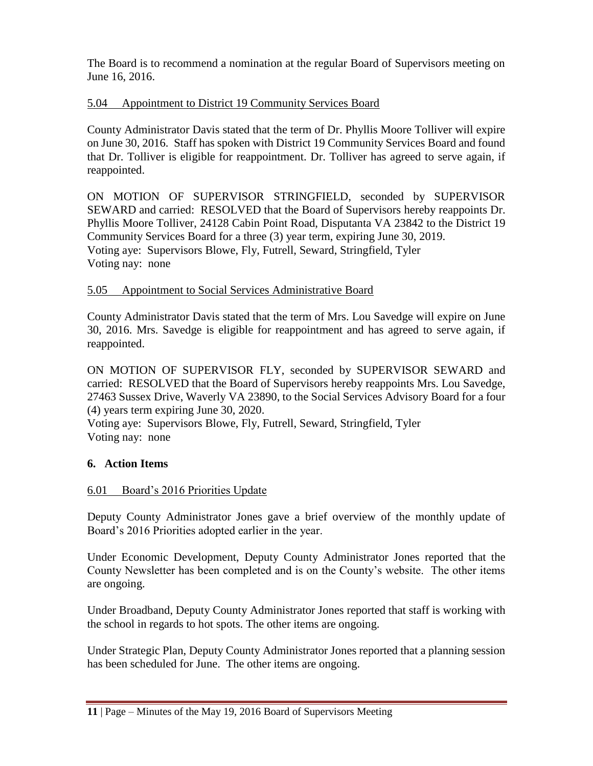The Board is to recommend a nomination at the regular Board of Supervisors meeting on June 16, 2016.

## 5.04 Appointment to District 19 Community Services Board

County Administrator Davis stated that the term of Dr. Phyllis Moore Tolliver will expire on June 30, 2016. Staff has spoken with District 19 Community Services Board and found that Dr. Tolliver is eligible for reappointment. Dr. Tolliver has agreed to serve again, if reappointed.

ON MOTION OF SUPERVISOR STRINGFIELD, seconded by SUPERVISOR SEWARD and carried: RESOLVED that the Board of Supervisors hereby reappoints Dr. Phyllis Moore Tolliver, 24128 Cabin Point Road, Disputanta VA 23842 to the District 19 Community Services Board for a three (3) year term, expiring June 30, 2019. Voting aye: Supervisors Blowe, Fly, Futrell, Seward, Stringfield, Tyler Voting nay: none

#### 5.05 Appointment to Social Services Administrative Board

County Administrator Davis stated that the term of Mrs. Lou Savedge will expire on June 30, 2016. Mrs. Savedge is eligible for reappointment and has agreed to serve again, if reappointed.

ON MOTION OF SUPERVISOR FLY, seconded by SUPERVISOR SEWARD and carried: RESOLVED that the Board of Supervisors hereby reappoints Mrs. Lou Savedge, 27463 Sussex Drive, Waverly VA 23890, to the Social Services Advisory Board for a four (4) years term expiring June 30, 2020.

Voting aye: Supervisors Blowe, Fly, Futrell, Seward, Stringfield, Tyler Voting nay: none

#### **6. Action Items**

#### 6.01 Board's 2016 Priorities Update

Deputy County Administrator Jones gave a brief overview of the monthly update of Board's 2016 Priorities adopted earlier in the year.

Under Economic Development, Deputy County Administrator Jones reported that the County Newsletter has been completed and is on the County's website. The other items are ongoing.

Under Broadband, Deputy County Administrator Jones reported that staff is working with the school in regards to hot spots. The other items are ongoing.

Under Strategic Plan, Deputy County Administrator Jones reported that a planning session has been scheduled for June. The other items are ongoing.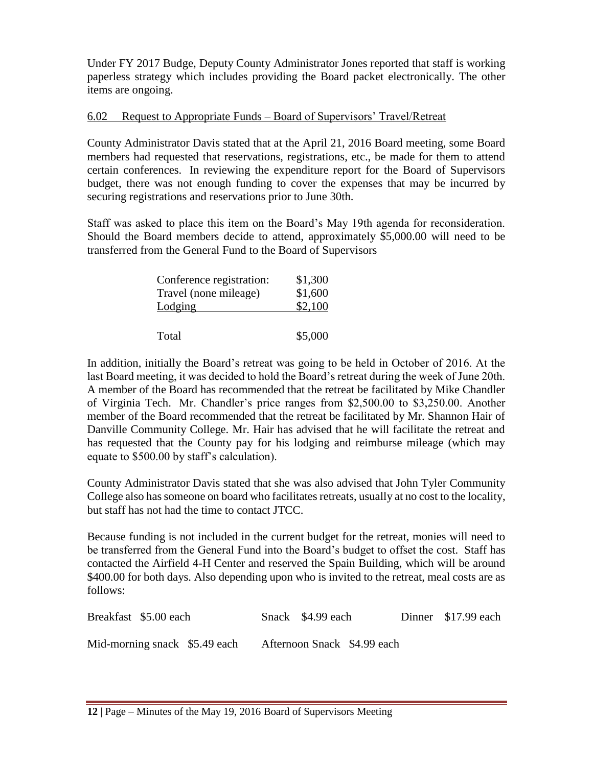Under FY 2017 Budge, Deputy County Administrator Jones reported that staff is working paperless strategy which includes providing the Board packet electronically. The other items are ongoing.

#### 6.02 Request to Appropriate Funds – Board of Supervisors' Travel/Retreat

County Administrator Davis stated that at the April 21, 2016 Board meeting, some Board members had requested that reservations, registrations, etc., be made for them to attend certain conferences. In reviewing the expenditure report for the Board of Supervisors budget, there was not enough funding to cover the expenses that may be incurred by securing registrations and reservations prior to June 30th.

Staff was asked to place this item on the Board's May 19th agenda for reconsideration. Should the Board members decide to attend, approximately \$5,000.00 will need to be transferred from the General Fund to the Board of Supervisors

| Conference registration: | \$1,300 |
|--------------------------|---------|
| Travel (none mileage)    | \$1,600 |
| Lodging                  | \$2,100 |
|                          |         |
| Total                    | \$5,000 |

In addition, initially the Board's retreat was going to be held in October of 2016. At the last Board meeting, it was decided to hold the Board's retreat during the week of June 20th. A member of the Board has recommended that the retreat be facilitated by Mike Chandler of Virginia Tech. Mr. Chandler's price ranges from \$2,500.00 to \$3,250.00. Another member of the Board recommended that the retreat be facilitated by Mr. Shannon Hair of Danville Community College. Mr. Hair has advised that he will facilitate the retreat and has requested that the County pay for his lodging and reimburse mileage (which may equate to \$500.00 by staff's calculation).

County Administrator Davis stated that she was also advised that John Tyler Community College also has someone on board who facilitates retreats, usually at no cost to the locality, but staff has not had the time to contact JTCC.

Because funding is not included in the current budget for the retreat, monies will need to be transferred from the General Fund into the Board's budget to offset the cost. Staff has contacted the Airfield 4-H Center and reserved the Spain Building, which will be around \$400.00 for both days. Also depending upon who is invited to the retreat, meal costs are as follows:

| Breakfast \$5.00 each         | Snack \$4.99 each           | Dinner \$17.99 each |
|-------------------------------|-----------------------------|---------------------|
| Mid-morning snack \$5.49 each | Afternoon Snack \$4.99 each |                     |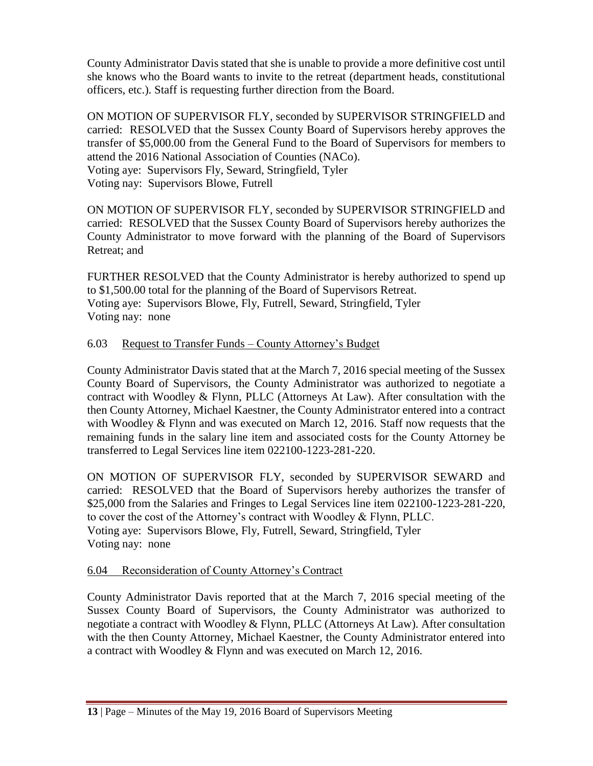County Administrator Davis stated that she is unable to provide a more definitive cost until she knows who the Board wants to invite to the retreat (department heads, constitutional officers, etc.). Staff is requesting further direction from the Board.

ON MOTION OF SUPERVISOR FLY, seconded by SUPERVISOR STRINGFIELD and carried: RESOLVED that the Sussex County Board of Supervisors hereby approves the transfer of \$5,000.00 from the General Fund to the Board of Supervisors for members to attend the 2016 National Association of Counties (NACo). Voting aye: Supervisors Fly, Seward, Stringfield, Tyler

Voting nay: Supervisors Blowe, Futrell

ON MOTION OF SUPERVISOR FLY, seconded by SUPERVISOR STRINGFIELD and carried: RESOLVED that the Sussex County Board of Supervisors hereby authorizes the County Administrator to move forward with the planning of the Board of Supervisors Retreat; and

FURTHER RESOLVED that the County Administrator is hereby authorized to spend up to \$1,500.00 total for the planning of the Board of Supervisors Retreat. Voting aye: Supervisors Blowe, Fly, Futrell, Seward, Stringfield, Tyler Voting nay: none

## 6.03 Request to Transfer Funds – County Attorney's Budget

County Administrator Davis stated that at the March 7, 2016 special meeting of the Sussex County Board of Supervisors, the County Administrator was authorized to negotiate a contract with Woodley & Flynn, PLLC (Attorneys At Law). After consultation with the then County Attorney, Michael Kaestner, the County Administrator entered into a contract with Woodley & Flynn and was executed on March 12, 2016. Staff now requests that the remaining funds in the salary line item and associated costs for the County Attorney be transferred to Legal Services line item 022100-1223-281-220.

ON MOTION OF SUPERVISOR FLY, seconded by SUPERVISOR SEWARD and carried: RESOLVED that the Board of Supervisors hereby authorizes the transfer of \$25,000 from the Salaries and Fringes to Legal Services line item 022100-1223-281-220, to cover the cost of the Attorney's contract with Woodley & Flynn, PLLC. Voting aye: Supervisors Blowe, Fly, Futrell, Seward, Stringfield, Tyler Voting nay: none

#### 6.04 Reconsideration of County Attorney's Contract

County Administrator Davis reported that at the March 7, 2016 special meeting of the Sussex County Board of Supervisors, the County Administrator was authorized to negotiate a contract with Woodley & Flynn, PLLC (Attorneys At Law). After consultation with the then County Attorney, Michael Kaestner, the County Administrator entered into a contract with Woodley & Flynn and was executed on March 12, 2016.

**<sup>13</sup>** | Page – Minutes of the May 19, 2016 Board of Supervisors Meeting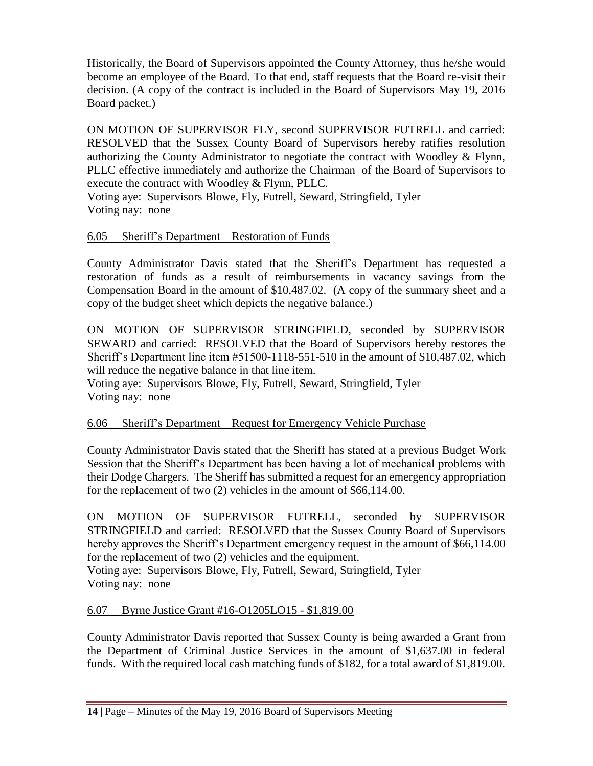Historically, the Board of Supervisors appointed the County Attorney, thus he/she would become an employee of the Board. To that end, staff requests that the Board re-visit their decision. (A copy of the contract is included in the Board of Supervisors May 19, 2016 Board packet.)

ON MOTION OF SUPERVISOR FLY, second SUPERVISOR FUTRELL and carried: RESOLVED that the Sussex County Board of Supervisors hereby ratifies resolution authorizing the County Administrator to negotiate the contract with Woodley & Flynn, PLLC effective immediately and authorize the Chairman of the Board of Supervisors to execute the contract with Woodley & Flynn, PLLC.

Voting aye: Supervisors Blowe, Fly, Futrell, Seward, Stringfield, Tyler Voting nay: none

# 6.05 Sheriff's Department – Restoration of Funds

County Administrator Davis stated that the Sheriff's Department has requested a restoration of funds as a result of reimbursements in vacancy savings from the Compensation Board in the amount of \$10,487.02. (A copy of the summary sheet and a copy of the budget sheet which depicts the negative balance.)

ON MOTION OF SUPERVISOR STRINGFIELD, seconded by SUPERVISOR SEWARD and carried: RESOLVED that the Board of Supervisors hereby restores the Sheriff's Department line item #51500-1118-551-510 in the amount of \$10,487.02, which will reduce the negative balance in that line item.

Voting aye: Supervisors Blowe, Fly, Futrell, Seward, Stringfield, Tyler Voting nay: none

#### 6.06 Sheriff's Department – Request for Emergency Vehicle Purchase

County Administrator Davis stated that the Sheriff has stated at a previous Budget Work Session that the Sheriff's Department has been having a lot of mechanical problems with their Dodge Chargers. The Sheriff has submitted a request for an emergency appropriation for the replacement of two (2) vehicles in the amount of \$66,114.00.

ON MOTION OF SUPERVISOR FUTRELL, seconded by SUPERVISOR STRINGFIELD and carried: RESOLVED that the Sussex County Board of Supervisors hereby approves the Sheriff's Department emergency request in the amount of \$66,114.00 for the replacement of two (2) vehicles and the equipment.

Voting aye: Supervisors Blowe, Fly, Futrell, Seward, Stringfield, Tyler Voting nay: none

#### 6.07 Byrne Justice Grant #16-O1205LO15 - \$1,819.00

County Administrator Davis reported that Sussex County is being awarded a Grant from the Department of Criminal Justice Services in the amount of \$1,637.00 in federal funds. With the required local cash matching funds of \$182, for a total award of \$1,819.00.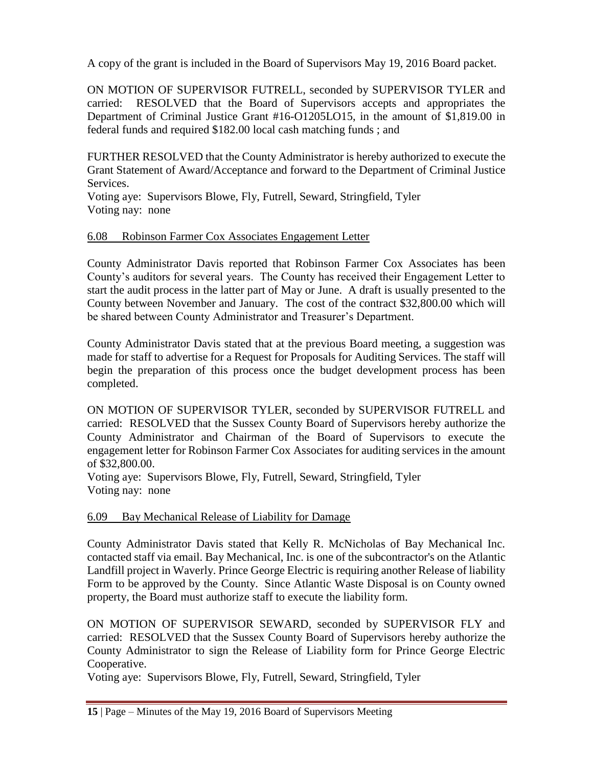A copy of the grant is included in the Board of Supervisors May 19, 2016 Board packet.

ON MOTION OF SUPERVISOR FUTRELL, seconded by SUPERVISOR TYLER and carried: RESOLVED that the Board of Supervisors accepts and appropriates the Department of Criminal Justice Grant #16-O1205LO15, in the amount of \$1,819.00 in federal funds and required \$182.00 local cash matching funds ; and

FURTHER RESOLVED that the County Administrator is hereby authorized to execute the Grant Statement of Award/Acceptance and forward to the Department of Criminal Justice Services.

Voting aye: Supervisors Blowe, Fly, Futrell, Seward, Stringfield, Tyler Voting nay: none

## 6.08 Robinson Farmer Cox Associates Engagement Letter

County Administrator Davis reported that Robinson Farmer Cox Associates has been County's auditors for several years. The County has received their Engagement Letter to start the audit process in the latter part of May or June. A draft is usually presented to the County between November and January. The cost of the contract \$32,800.00 which will be shared between County Administrator and Treasurer's Department.

County Administrator Davis stated that at the previous Board meeting, a suggestion was made for staff to advertise for a Request for Proposals for Auditing Services. The staff will begin the preparation of this process once the budget development process has been completed.

ON MOTION OF SUPERVISOR TYLER, seconded by SUPERVISOR FUTRELL and carried: RESOLVED that the Sussex County Board of Supervisors hereby authorize the County Administrator and Chairman of the Board of Supervisors to execute the engagement letter for Robinson Farmer Cox Associates for auditing services in the amount of \$32,800.00.

Voting aye: Supervisors Blowe, Fly, Futrell, Seward, Stringfield, Tyler Voting nay: none

# 6.09 Bay Mechanical Release of Liability for Damage

County Administrator Davis stated that Kelly R. McNicholas of Bay Mechanical Inc. contacted staff via email. Bay Mechanical, Inc. is one of the subcontractor's on the Atlantic Landfill project in Waverly. Prince George Electric is requiring another Release of liability Form to be approved by the County. Since Atlantic Waste Disposal is on County owned property, the Board must authorize staff to execute the liability form.

ON MOTION OF SUPERVISOR SEWARD, seconded by SUPERVISOR FLY and carried: RESOLVED that the Sussex County Board of Supervisors hereby authorize the County Administrator to sign the Release of Liability form for Prince George Electric Cooperative.

Voting aye: Supervisors Blowe, Fly, Futrell, Seward, Stringfield, Tyler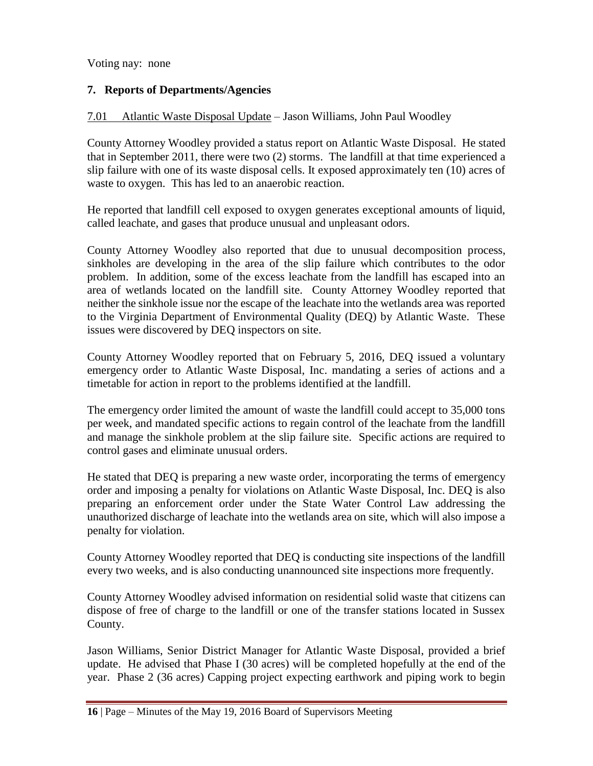# **7. Reports of Departments/Agencies**

#### 7.01 Atlantic Waste Disposal Update – Jason Williams, John Paul Woodley

County Attorney Woodley provided a status report on Atlantic Waste Disposal. He stated that in September 2011, there were two (2) storms. The landfill at that time experienced a slip failure with one of its waste disposal cells. It exposed approximately ten (10) acres of waste to oxygen. This has led to an anaerobic reaction.

He reported that landfill cell exposed to oxygen generates exceptional amounts of liquid, called leachate, and gases that produce unusual and unpleasant odors.

County Attorney Woodley also reported that due to unusual decomposition process, sinkholes are developing in the area of the slip failure which contributes to the odor problem. In addition, some of the excess leachate from the landfill has escaped into an area of wetlands located on the landfill site. County Attorney Woodley reported that neither the sinkhole issue nor the escape of the leachate into the wetlands area was reported to the Virginia Department of Environmental Quality (DEQ) by Atlantic Waste. These issues were discovered by DEQ inspectors on site.

County Attorney Woodley reported that on February 5, 2016, DEQ issued a voluntary emergency order to Atlantic Waste Disposal, Inc. mandating a series of actions and a timetable for action in report to the problems identified at the landfill.

The emergency order limited the amount of waste the landfill could accept to 35,000 tons per week, and mandated specific actions to regain control of the leachate from the landfill and manage the sinkhole problem at the slip failure site. Specific actions are required to control gases and eliminate unusual orders.

He stated that DEQ is preparing a new waste order, incorporating the terms of emergency order and imposing a penalty for violations on Atlantic Waste Disposal, Inc. DEQ is also preparing an enforcement order under the State Water Control Law addressing the unauthorized discharge of leachate into the wetlands area on site, which will also impose a penalty for violation.

County Attorney Woodley reported that DEQ is conducting site inspections of the landfill every two weeks, and is also conducting unannounced site inspections more frequently.

County Attorney Woodley advised information on residential solid waste that citizens can dispose of free of charge to the landfill or one of the transfer stations located in Sussex County.

Jason Williams, Senior District Manager for Atlantic Waste Disposal, provided a brief update. He advised that Phase I (30 acres) will be completed hopefully at the end of the year. Phase 2 (36 acres) Capping project expecting earthwork and piping work to begin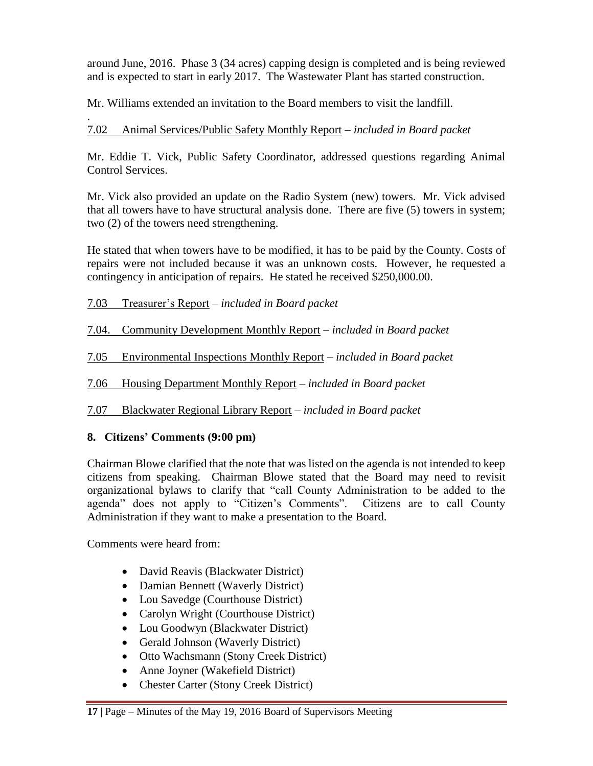around June, 2016. Phase 3 (34 acres) capping design is completed and is being reviewed and is expected to start in early 2017. The Wastewater Plant has started construction.

Mr. Williams extended an invitation to the Board members to visit the landfill.

#### . 7.02 Animal Services/Public Safety Monthly Report – *included in Board packet*

Mr. Eddie T. Vick, Public Safety Coordinator, addressed questions regarding Animal Control Services.

Mr. Vick also provided an update on the Radio System (new) towers. Mr. Vick advised that all towers have to have structural analysis done. There are five (5) towers in system; two (2) of the towers need strengthening.

He stated that when towers have to be modified, it has to be paid by the County. Costs of repairs were not included because it was an unknown costs. However, he requested a contingency in anticipation of repairs. He stated he received \$250,000.00.

# 7.03 Treasurer's Report – *included in Board packet*

7.04. Community Development Monthly Report – *included in Board packet*

7.05 Environmental Inspections Monthly Report – *included in Board packet*

7.06 Housing Department Monthly Report – *included in Board packet*

7.07 Blackwater Regional Library Report – *included in Board packet*

# **8. Citizens' Comments (9:00 pm)**

Chairman Blowe clarified that the note that was listed on the agenda is not intended to keep citizens from speaking. Chairman Blowe stated that the Board may need to revisit organizational bylaws to clarify that "call County Administration to be added to the agenda" does not apply to "Citizen's Comments". Citizens are to call County Administration if they want to make a presentation to the Board.

Comments were heard from:

- David Reavis (Blackwater District)
- Damian Bennett (Waverly District)
- Lou Savedge (Courthouse District)
- Carolyn Wright (Courthouse District)
- Lou Goodwyn (Blackwater District)
- Gerald Johnson (Waverly District)
- Otto Wachsmann (Stony Creek District)
- Anne Joyner (Wakefield District)
- Chester Carter (Stony Creek District)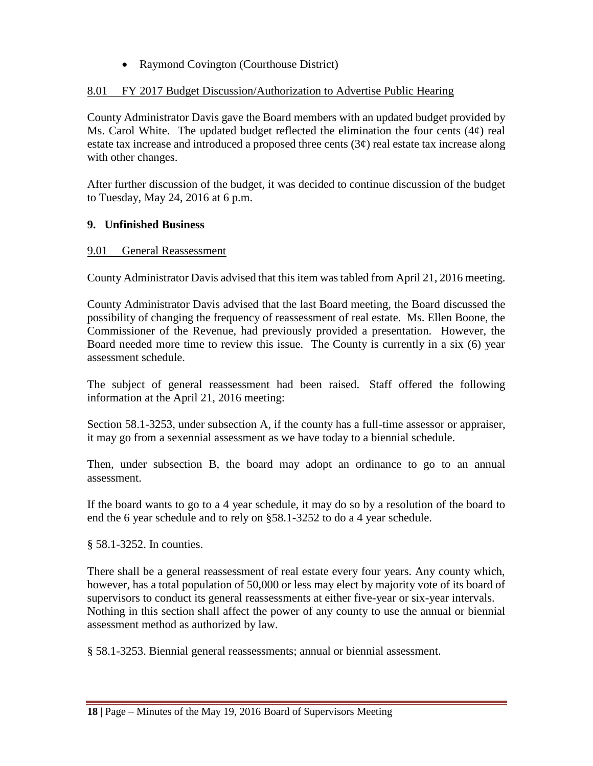• Raymond Covington (Courthouse District)

# 8.01 FY 2017 Budget Discussion/Authorization to Advertise Public Hearing

County Administrator Davis gave the Board members with an updated budget provided by Ms. Carol White. The updated budget reflected the elimination the four cents  $(4\phi)$  real estate tax increase and introduced a proposed three cents  $(3\varphi)$  real estate tax increase along with other changes.

After further discussion of the budget, it was decided to continue discussion of the budget to Tuesday, May 24, 2016 at 6 p.m.

# **9. Unfinished Business**

## 9.01 General Reassessment

County Administrator Davis advised that this item was tabled from April 21, 2016 meeting.

County Administrator Davis advised that the last Board meeting, the Board discussed the possibility of changing the frequency of reassessment of real estate. Ms. Ellen Boone, the Commissioner of the Revenue, had previously provided a presentation. However, the Board needed more time to review this issue. The County is currently in a six (6) year assessment schedule.

The subject of general reassessment had been raised. Staff offered the following information at the April 21, 2016 meeting:

Section 58.1-3253, under subsection A, if the county has a full-time assessor or appraiser, it may go from a sexennial assessment as we have today to a biennial schedule.

Then, under subsection B, the board may adopt an ordinance to go to an annual assessment.

If the board wants to go to a 4 year schedule, it may do so by a resolution of the board to end the 6 year schedule and to rely on §58.1-3252 to do a 4 year schedule.

§ 58.1-3252. In counties.

There shall be a general reassessment of real estate every four years. Any county which, however, has a total population of 50,000 or less may elect by majority vote of its board of supervisors to conduct its general reassessments at either five-year or six-year intervals. Nothing in this section shall affect the power of any county to use the annual or biennial assessment method as authorized by law.

§ 58.1-3253. Biennial general reassessments; annual or biennial assessment.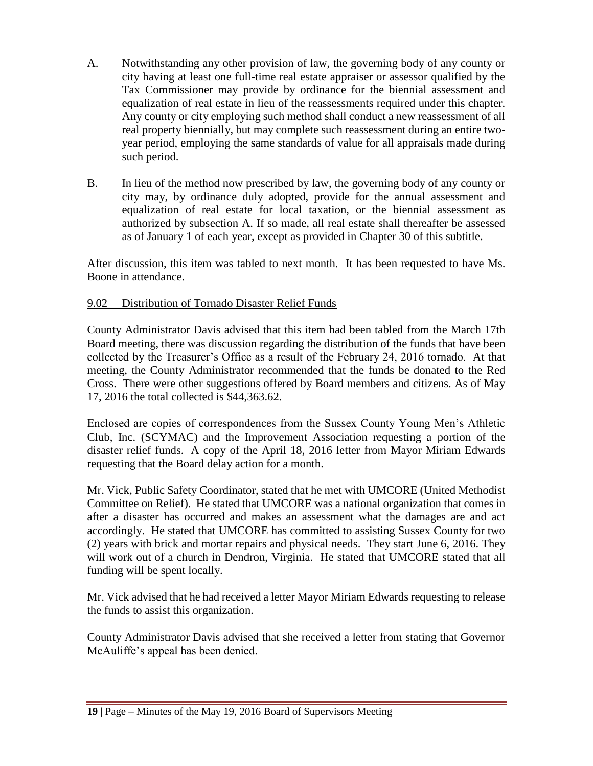- A. Notwithstanding any other provision of law, the governing body of any county or city having at least one full-time real estate appraiser or assessor qualified by the Tax Commissioner may provide by ordinance for the biennial assessment and equalization of real estate in lieu of the reassessments required under this chapter. Any county or city employing such method shall conduct a new reassessment of all real property biennially, but may complete such reassessment during an entire twoyear period, employing the same standards of value for all appraisals made during such period.
- B. In lieu of the method now prescribed by law, the governing body of any county or city may, by ordinance duly adopted, provide for the annual assessment and equalization of real estate for local taxation, or the biennial assessment as authorized by subsection A. If so made, all real estate shall thereafter be assessed as of January 1 of each year, except as provided in Chapter 30 of this subtitle.

After discussion, this item was tabled to next month. It has been requested to have Ms. Boone in attendance.

## 9.02 Distribution of Tornado Disaster Relief Funds

County Administrator Davis advised that this item had been tabled from the March 17th Board meeting, there was discussion regarding the distribution of the funds that have been collected by the Treasurer's Office as a result of the February 24, 2016 tornado. At that meeting, the County Administrator recommended that the funds be donated to the Red Cross. There were other suggestions offered by Board members and citizens. As of May 17, 2016 the total collected is \$44,363.62.

Enclosed are copies of correspondences from the Sussex County Young Men's Athletic Club, Inc. (SCYMAC) and the Improvement Association requesting a portion of the disaster relief funds. A copy of the April 18, 2016 letter from Mayor Miriam Edwards requesting that the Board delay action for a month.

Mr. Vick, Public Safety Coordinator, stated that he met with UMCORE (United Methodist Committee on Relief). He stated that UMCORE was a national organization that comes in after a disaster has occurred and makes an assessment what the damages are and act accordingly. He stated that UMCORE has committed to assisting Sussex County for two (2) years with brick and mortar repairs and physical needs. They start June 6, 2016. They will work out of a church in Dendron, Virginia. He stated that UMCORE stated that all funding will be spent locally.

Mr. Vick advised that he had received a letter Mayor Miriam Edwards requesting to release the funds to assist this organization.

County Administrator Davis advised that she received a letter from stating that Governor McAuliffe's appeal has been denied.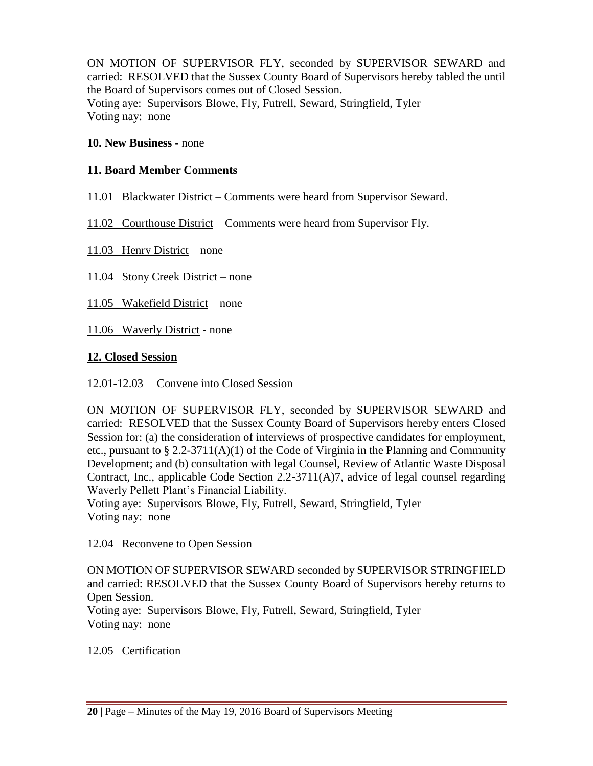ON MOTION OF SUPERVISOR FLY, seconded by SUPERVISOR SEWARD and carried: RESOLVED that the Sussex County Board of Supervisors hereby tabled the until the Board of Supervisors comes out of Closed Session. Voting aye: Supervisors Blowe, Fly, Futrell, Seward, Stringfield, Tyler Voting nay: none

#### **10. New Business** - none

#### **11. Board Member Comments**

11.01 Blackwater District – Comments were heard from Supervisor Seward.

11.02 Courthouse District – Comments were heard from Supervisor Fly.

11.03 Henry District – none

11.04 Stony Creek District – none

11.05 Wakefield District – none

11.06 Waverly District - none

## **12. Closed Session**

#### 12.01-12.03 Convene into Closed Session

ON MOTION OF SUPERVISOR FLY, seconded by SUPERVISOR SEWARD and carried: RESOLVED that the Sussex County Board of Supervisors hereby enters Closed Session for: (a) the consideration of interviews of prospective candidates for employment, etc., pursuant to § 2.2-3711(A)(1) of the Code of Virginia in the Planning and Community Development; and (b) consultation with legal Counsel, Review of Atlantic Waste Disposal Contract, Inc., applicable Code Section  $2.2\n-3711(A)7$ , advice of legal counsel regarding Waverly Pellett Plant's Financial Liability.

Voting aye: Supervisors Blowe, Fly, Futrell, Seward, Stringfield, Tyler Voting nay: none

12.04 Reconvene to Open Session

ON MOTION OF SUPERVISOR SEWARD seconded by SUPERVISOR STRINGFIELD and carried: RESOLVED that the Sussex County Board of Supervisors hereby returns to Open Session.

Voting aye: Supervisors Blowe, Fly, Futrell, Seward, Stringfield, Tyler Voting nay: none

#### 12.05 Certification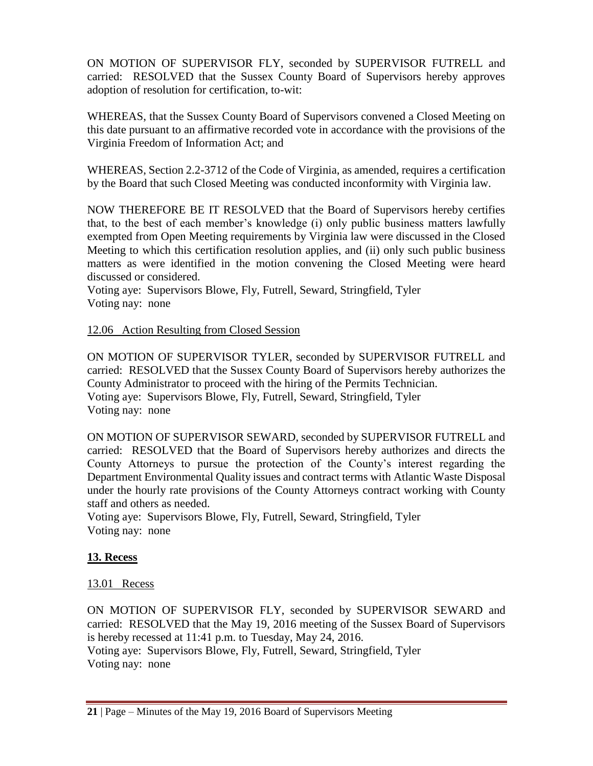ON MOTION OF SUPERVISOR FLY, seconded by SUPERVISOR FUTRELL and carried: RESOLVED that the Sussex County Board of Supervisors hereby approves adoption of resolution for certification, to-wit:

WHEREAS, that the Sussex County Board of Supervisors convened a Closed Meeting on this date pursuant to an affirmative recorded vote in accordance with the provisions of the Virginia Freedom of Information Act; and

WHEREAS, Section 2.2-3712 of the Code of Virginia, as amended, requires a certification by the Board that such Closed Meeting was conducted inconformity with Virginia law.

NOW THEREFORE BE IT RESOLVED that the Board of Supervisors hereby certifies that, to the best of each member's knowledge (i) only public business matters lawfully exempted from Open Meeting requirements by Virginia law were discussed in the Closed Meeting to which this certification resolution applies, and (ii) only such public business matters as were identified in the motion convening the Closed Meeting were heard discussed or considered.

Voting aye: Supervisors Blowe, Fly, Futrell, Seward, Stringfield, Tyler Voting nay: none

12.06 Action Resulting from Closed Session

ON MOTION OF SUPERVISOR TYLER, seconded by SUPERVISOR FUTRELL and carried: RESOLVED that the Sussex County Board of Supervisors hereby authorizes the County Administrator to proceed with the hiring of the Permits Technician. Voting aye: Supervisors Blowe, Fly, Futrell, Seward, Stringfield, Tyler Voting nay: none

ON MOTION OF SUPERVISOR SEWARD, seconded by SUPERVISOR FUTRELL and carried: RESOLVED that the Board of Supervisors hereby authorizes and directs the County Attorneys to pursue the protection of the County's interest regarding the Department Environmental Quality issues and contract terms with Atlantic Waste Disposal under the hourly rate provisions of the County Attorneys contract working with County staff and others as needed.

Voting aye: Supervisors Blowe, Fly, Futrell, Seward, Stringfield, Tyler Voting nay: none

# **13. Recess**

# 13.01 Recess

ON MOTION OF SUPERVISOR FLY, seconded by SUPERVISOR SEWARD and carried: RESOLVED that the May 19, 2016 meeting of the Sussex Board of Supervisors is hereby recessed at 11:41 p.m. to Tuesday, May 24, 2016. Voting aye: Supervisors Blowe, Fly, Futrell, Seward, Stringfield, Tyler Voting nay: none